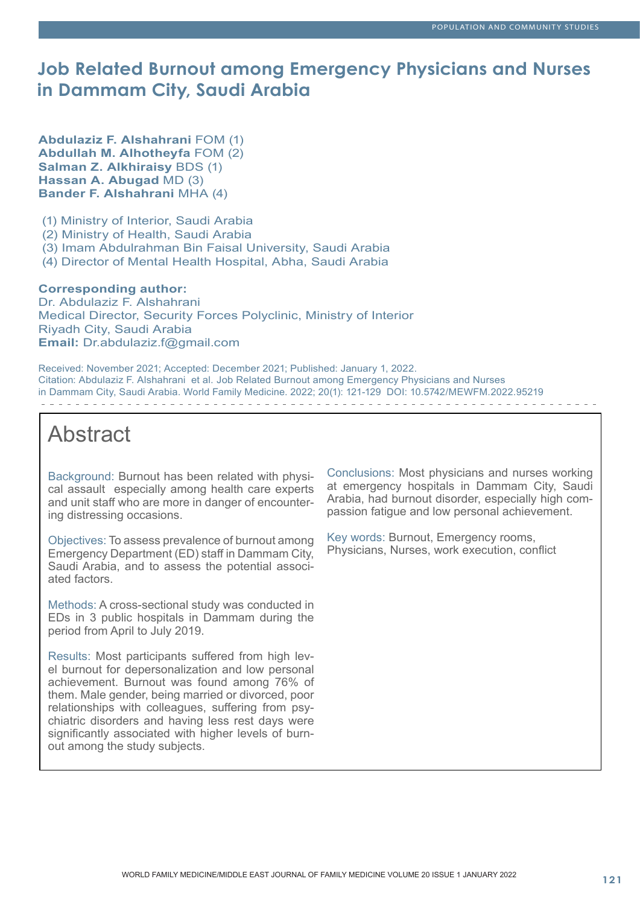## **Job Related Burnout among Emergency Physicians and Nurses in Dammam City, Saudi Arabia**

**Abdulaziz F. Alshahrani** FOM (1) **Abdullah M. Alhotheyfa** FOM (2) **Salman Z. Alkhiraisy** BDS (1) **Hassan A. Abugad** MD (3) **Bander F. Alshahrani** MHA (4)

(1) Ministry of Interior, Saudi Arabia

(2) Ministry of Health, Saudi Arabia

(3) Imam Abdulrahman Bin Faisal University, Saudi Arabia

(4) Director of Mental Health Hospital, Abha, Saudi Arabia

#### **Corresponding author:**

Dr. Abdulaziz F. Alshahrani Medical Director, Security Forces Polyclinic, Ministry of Interior Riyadh City, Saudi Arabia **Email:** Dr.abdulaziz.f@gmail.com

Received: November 2021; Accepted: December 2021; Published: January 1, 2022. Citation: Abdulaziz F. Alshahrani et al. Job Related Burnout among Emergency Physicians and Nurses in Dammam City, Saudi Arabia. World Family Medicine. 2022; 20(1): 121-129 DOI: 10.5742/MEWFM.2022.95219 

# Abstract

Background: Burnout has been related with physical assault especially among health care experts and unit staff who are more in danger of encountering distressing occasions.

Objectives: To assess prevalence of burnout among Emergency Department (ED) staff in Dammam City, Saudi Arabia, and to assess the potential associated factors.

Methods: A cross-sectional study was conducted in EDs in 3 public hospitals in Dammam during the period from April to July 2019.

Results: Most participants suffered from high level burnout for depersonalization and low personal achievement. Burnout was found among 76% of them. Male gender, being married or divorced, poor relationships with colleagues, suffering from psychiatric disorders and having less rest days were significantly associated with higher levels of burnout among the study subjects.

Conclusions: Most physicians and nurses working at emergency hospitals in Dammam City, Saudi Arabia, had burnout disorder, especially high compassion fatigue and low personal achievement.

Key words: Burnout, Emergency rooms, Physicians, Nurses, work execution, conflict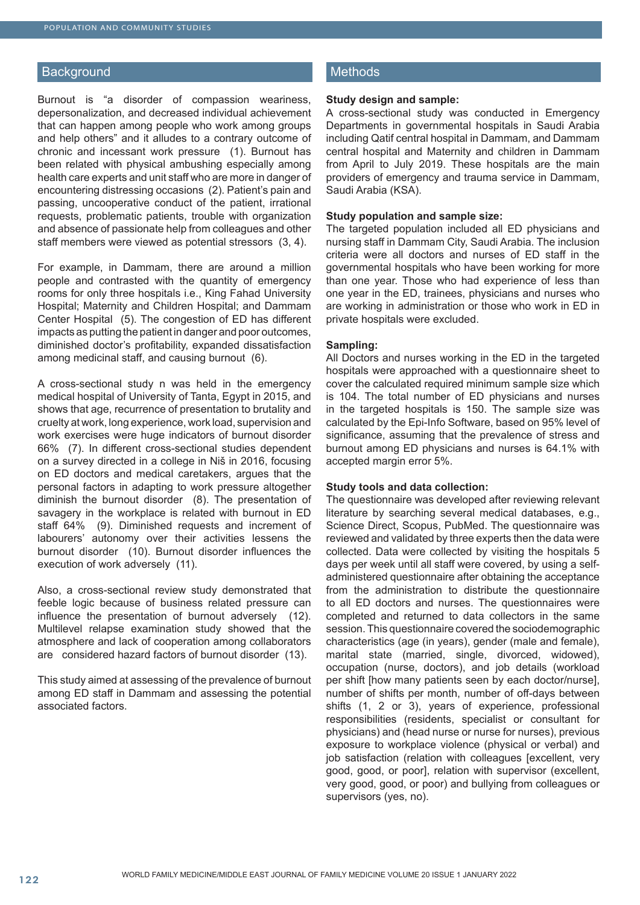#### **Background**

Burnout is "a disorder of compassion weariness, depersonalization, and decreased individual achievement that can happen among people who work among groups and help others" and it alludes to a contrary outcome of chronic and incessant work pressure (1). Burnout has been related with physical ambushing especially among health care experts and unit staff who are more in danger of encountering distressing occasions (2). Patient's pain and passing, uncooperative conduct of the patient, irrational requests, problematic patients, trouble with organization and absence of passionate help from colleagues and other staff members were viewed as potential stressors (3, 4).

For example, in Dammam, there are around a million people and contrasted with the quantity of emergency rooms for only three hospitals i.e., King Fahad University Hospital; Maternity and Children Hospital; and Dammam Center Hospital (5). The congestion of ED has different impacts as putting the patient in danger and poor outcomes, diminished doctor's profitability, expanded dissatisfaction among medicinal staff, and causing burnout (6).

A cross-sectional study n was held in the emergency medical hospital of University of Tanta, Egypt in 2015, and shows that age, recurrence of presentation to brutality and cruelty at work, long experience, work load, supervision and work exercises were huge indicators of burnout disorder 66% (7). In different cross-sectional studies dependent on a survey directed in a college in Niš in 2016, focusing on ED doctors and medical caretakers, argues that the personal factors in adapting to work pressure altogether diminish the burnout disorder (8). The presentation of savagery in the workplace is related with burnout in ED staff 64% (9). Diminished requests and increment of labourers' autonomy over their activities lessens the burnout disorder (10). Burnout disorder influences the execution of work adversely (11).

Also, a cross-sectional review study demonstrated that feeble logic because of business related pressure can influence the presentation of burnout adversely (12). Multilevel relapse examination study showed that the atmosphere and lack of cooperation among collaborators are considered hazard factors of burnout disorder (13).

This study aimed at assessing of the prevalence of burnout among ED staff in Dammam and assessing the potential associated factors.

## **Methods**

#### **Study design and sample:**

A cross-sectional study was conducted in Emergency Departments in governmental hospitals in Saudi Arabia including Qatif central hospital in Dammam, and Dammam central hospital and Maternity and children in Dammam from April to July 2019. These hospitals are the main providers of emergency and trauma service in Dammam, Saudi Arabia (KSA).

#### **Study population and sample size:**

The targeted population included all ED physicians and nursing staff in Dammam City, Saudi Arabia. The inclusion criteria were all doctors and nurses of ED staff in the governmental hospitals who have been working for more than one year. Those who had experience of less than one year in the ED, trainees, physicians and nurses who are working in administration or those who work in ED in private hospitals were excluded.

#### **Sampling:**

All Doctors and nurses working in the ED in the targeted hospitals were approached with a questionnaire sheet to cover the calculated required minimum sample size which is 104. The total number of ED physicians and nurses in the targeted hospitals is 150. The sample size was calculated by the Epi-Info Software, based on 95% level of significance, assuming that the prevalence of stress and burnout among ED physicians and nurses is 64.1% with accepted margin error 5%.

#### **Study tools and data collection:**

The questionnaire was developed after reviewing relevant literature by searching several medical databases, e.g., Science Direct, Scopus, PubMed. The questionnaire was reviewed and validated by three experts then the data were collected. Data were collected by visiting the hospitals 5 days per week until all staff were covered, by using a selfadministered questionnaire after obtaining the acceptance from the administration to distribute the questionnaire to all ED doctors and nurses. The questionnaires were completed and returned to data collectors in the same session. This questionnaire covered the sociodemographic characteristics (age (in years), gender (male and female), marital state (married, single, divorced, widowed), occupation (nurse, doctors), and job details (workload per shift [how many patients seen by each doctor/nurse], number of shifts per month, number of off-days between shifts (1, 2 or 3), years of experience, professional responsibilities (residents, specialist or consultant for physicians) and (head nurse or nurse for nurses), previous exposure to workplace violence (physical or verbal) and job satisfaction (relation with colleagues [excellent, very good, good, or poor], relation with supervisor (excellent, very good, good, or poor) and bullying from colleagues or supervisors (yes, no).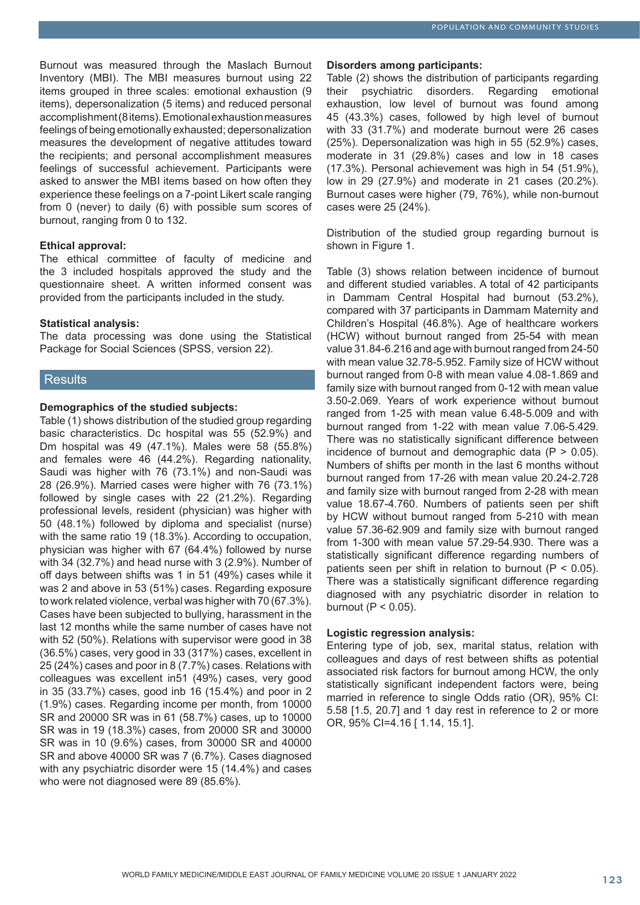Burnout was measured through the Maslach Burnout Inventory (MBI). The MBI measures burnout using 22 items grouped in three scales: emotional exhaustion (9 items), depersonalization (5 items) and reduced personal accomplishment (8 items). Emotional exhaustion measures feelings of being emotionally exhausted; depersonalization measures the development of negative attitudes toward the recipients; and personal accomplishment measures feelings of successful achievement. Participants were asked to answer the MBI items based on how often they experience these feelings on a 7-point Likert scale ranging from 0 (never) to daily (6) with possible sum scores of burnout, ranging from 0 to 132.

#### **Ethical approval:**

The ethical committee of faculty of medicine and the 3 included hospitals approved the study and the questionnaire sheet. A written informed consent was provided from the participants included in the study.

#### **Statistical analysis:**

The data processing was done using the Statistical Package for Social Sciences (SPSS, version 22).

#### **Results**

#### **Demographics of the studied subjects:**

Table (1) shows distribution of the studied group regarding basic characteristics. Dc hospital was 55 (52.9%) and Dm hospital was 49 (47.1%). Males were 58 (55.8%) and females were 46 (44.2%). Regarding nationality, Saudi was higher with 76 (73.1%) and non-Saudi was 28 (26.9%). Married cases were higher with 76 (73.1%) followed by single cases with 22 (21.2%). Regarding professional levels, resident (physician) was higher with 50 (48.1%) followed by diploma and specialist (nurse) with the same ratio 19 (18.3%). According to occupation, physician was higher with 67 (64.4%) followed by nurse with 34 (32.7%) and head nurse with 3 (2.9%). Number of off days between shifts was 1 in 51 (49%) cases while it was 2 and above in 53 (51%) cases. Regarding exposure to work related violence, verbal was higher with 70 (67.3%). Cases have been subjected to bullying, harassment in the last 12 months while the same number of cases have not with 52 (50%). Relations with supervisor were good in 38 (36.5%) cases, very good in 33 (317%) cases, excellent in 25 (24%) cases and poor in 8 (7.7%) cases. Relations with colleagues was excellent in51 (49%) cases, very good in 35 (33.7%) cases, good inb 16 (15.4%) and poor in 2 (1.9%) cases. Regarding income per month, from 10000 SR and 20000 SR was in 61 (58.7%) cases, up to 10000 SR was in 19 (18.3%) cases, from 20000 SR and 30000 SR was in 10 (9.6%) cases, from 30000 SR and 40000 SR and above 40000 SR was 7 (6.7%). Cases diagnosed with any psychiatric disorder were 15 (14.4%) and cases who were not diagnosed were 89 (85.6%).

#### **Disorders among participants:**

Table (2) shows the distribution of participants regarding their psychiatric disorders. Regarding emotional exhaustion, low level of burnout was found among 45 (43.3%) cases, followed by high level of burnout with 33 (31.7%) and moderate burnout were 26 cases (25%). Depersonalization was high in 55 (52.9%) cases, moderate in 31 (29.8%) cases and low in 18 cases (17.3%). Personal achievement was high in 54 (51.9%), low in 29 (27.9%) and moderate in 21 cases (20.2%). Burnout cases were higher (79, 76%), while non-burnout cases were 25 (24%).

Distribution of the studied group regarding burnout is shown in Figure 1.

Table (3) shows relation between incidence of burnout and different studied variables. A total of 42 participants in Dammam Central Hospital had burnout (53.2%), compared with 37 participants in Dammam Maternity and Children's Hospital (46.8%). Age of healthcare workers (HCW) without burnout ranged from 25-54 with mean value 31.84-6.216 and age with burnout ranged from 24-50 with mean value 32.78-5.952. Family size of HCW without burnout ranged from 0-8 with mean value 4.08-1.869 and family size with burnout ranged from 0-12 with mean value 3.50-2.069. Years of work experience without burnout ranged from 1-25 with mean value 6.48-5.009 and with burnout ranged from 1-22 with mean value 7.06-5.429. There was no statistically significant difference between incidence of burnout and demographic data  $(P > 0.05)$ . Numbers of shifts per month in the last 6 months without burnout ranged from 17-26 with mean value 20.24-2.728 and family size with burnout ranged from 2-28 with mean value 18.67-4.760. Numbers of patients seen per shift by HCW without burnout ranged from 5-210 with mean value 57.36-62.909 and family size with burnout ranged from 1-300 with mean value 57.29-54.930. There was a statistically significant difference regarding numbers of patients seen per shift in relation to burnout ( $P < 0.05$ ). There was a statistically significant difference regarding diagnosed with any psychiatric disorder in relation to burnout ( $P < 0.05$ ).

#### **Logistic regression analysis:**

Entering type of job, sex, marital status, relation with colleagues and days of rest between shifts as potential associated risk factors for burnout among HCW, the only statistically significant independent factors were, being married in reference to single Odds ratio (OR), 95% CI: 5.58 [1.5, 20.7] and 1 day rest in reference to 2 or more OR, 95% CI=4.16 [ 1.14, 15.1].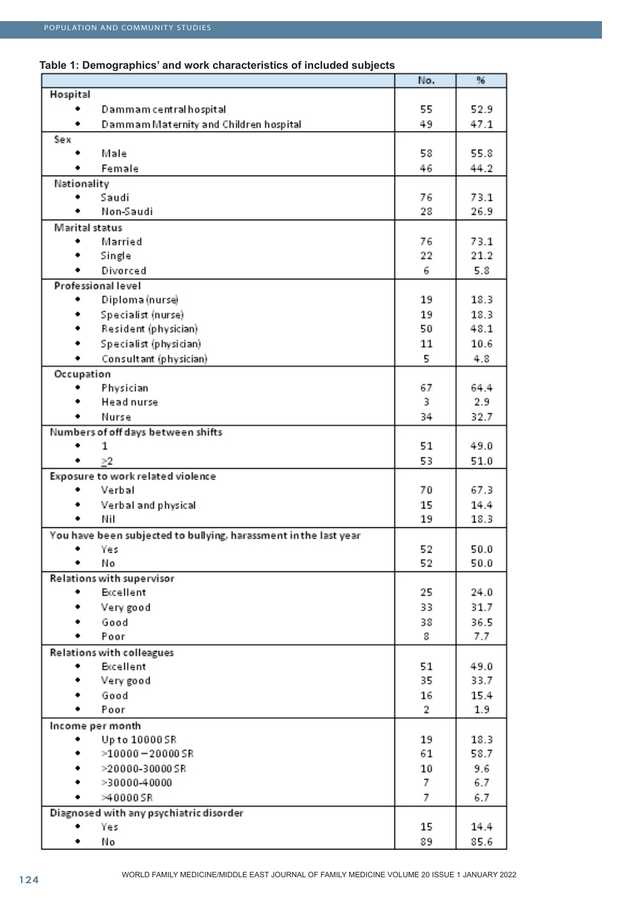## **Table 1: Demographics' and work characteristics of included subjects**

|                |                                                                  | No.     | %           |
|----------------|------------------------------------------------------------------|---------|-------------|
| Hospital       |                                                                  |         |             |
|                | Dammam central hospital                                          | 55      | 52.9        |
| ٠              | Dammam Maternity and Children hospital                           | 49      | 47.1        |
| Sex            |                                                                  |         |             |
|                | Male                                                             | 58      | 55.8        |
|                | Female                                                           | 46      | 44.2        |
| Nationality    |                                                                  |         |             |
|                | Saudi                                                            | 76      | 73.1        |
|                | Non-Saudi                                                        | 28      | 26.9        |
| Marital status |                                                                  |         |             |
| ٠              | Married                                                          | 76      | 73.1        |
|                | Single                                                           | 22      | 21.2        |
|                | Divorced                                                         | 6       | 5.8         |
|                | Professional level                                               |         |             |
|                |                                                                  |         |             |
|                | Diploma (nurse)                                                  | 19      | 18.3        |
|                | Specialist (nurse)                                               | 19      | 18.3        |
|                | Resident (physician)                                             | 50      | 48.1        |
|                | Specialist (physician)                                           | 11      | 10.6        |
|                | Consultant (physician)                                           | 5       | 4.8         |
| Occupation     |                                                                  |         |             |
|                | Physician                                                        | 67      | 64.4        |
|                | Head nurse                                                       | 3       | 2.9         |
|                | Nurse                                                            | 34      | 32.7        |
|                | Numbers of off days between shifts                               |         |             |
| ٠              | 1                                                                | 51      | 49.0        |
| ٠              | >2                                                               | 53      | 51.0        |
|                | Exposure to work related violence                                |         |             |
|                | Verbal                                                           | 70      | 67.3        |
|                | Verbal and physical                                              | 15      | 14.4        |
| ٠              | Nil                                                              | 19      | 18.3        |
|                | You have been subjected to bullying, harassment in the last year |         |             |
| ٠              | Yes                                                              | 52      | 50.0        |
|                | No                                                               | 52      | 50.0        |
|                | Relations with supervisor                                        |         |             |
|                | Excellent                                                        | 25      | 24.0        |
|                | Very good                                                        | 33      | 31.7        |
|                | Good                                                             | 38      | 36.5        |
|                | Poor                                                             | 8       | 7.7         |
|                | <b>Relations with colleagues</b>                                 |         |             |
|                | Excellent                                                        | 51      | 49.0        |
|                | Very good                                                        | 35      | 33.7        |
|                |                                                                  |         |             |
|                | Good<br>Poor                                                     | 16<br>2 | 15.4<br>1.9 |
|                |                                                                  |         |             |
|                | Income per month                                                 |         |             |
|                | Up to 10000 SR                                                   | 19      | 18.3        |
|                | $>10000 - 20000$ SR                                              | 61      | 58.7        |
|                | >20000-30000SR                                                   | 10      | 9.6         |
|                | >30000-40000                                                     | 7       | 6.7         |
|                | $>40000$ SR                                                      | 7       | 6.7         |
|                | Diagnosed with any psychiatric disorder                          |         |             |
|                | Yes                                                              | 15      | 14.4        |
| ٠              | No                                                               | 89      | 85.6        |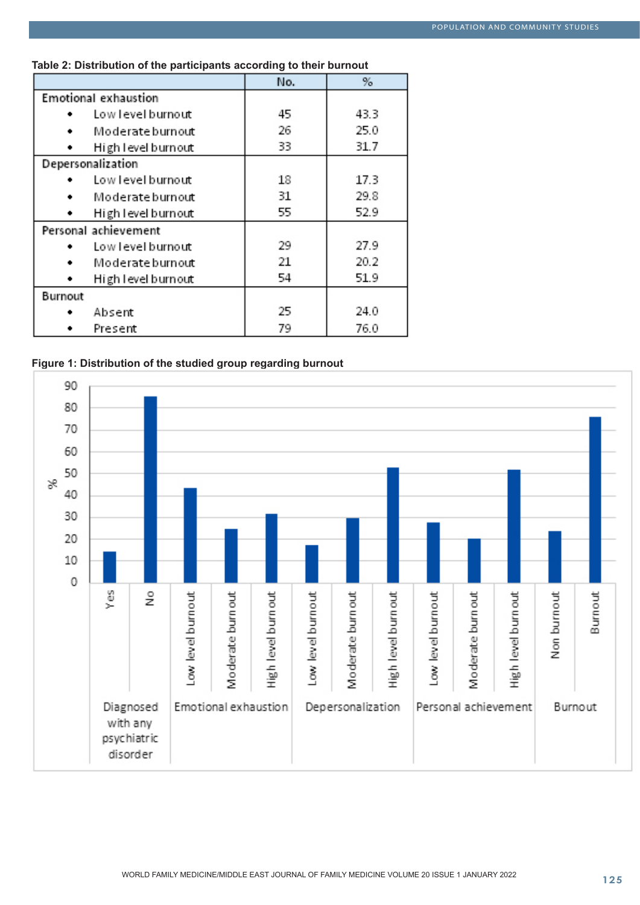|                      |                             | No. | %    |
|----------------------|-----------------------------|-----|------|
|                      | <b>Emotional exhaustion</b> |     |      |
|                      | Low level burnout           | 45  | 43.3 |
|                      | Moderate burnout            | 26  | 25.0 |
|                      | High level burnout          | 33  | 31.7 |
| Depersonalization    |                             |     |      |
|                      | Low level burnout           | 18  | 17.3 |
|                      | Moderate burnout            | 31  | 29.8 |
|                      | High level burnout          | 55  | 52.9 |
| Personal achievement |                             |     |      |
|                      | Low level burnout           | 29  | 27.9 |
| ٠                    | Moderate burnout            | 21  | 20.2 |
|                      | High level burnout          | 54  | 51.9 |
| Burnout              |                             |     |      |
|                      | Absent                      | 25  | 24.0 |
|                      | Present                     | 79  | 76.0 |

## **Table 2: Distribution of the participants according to their burnout**



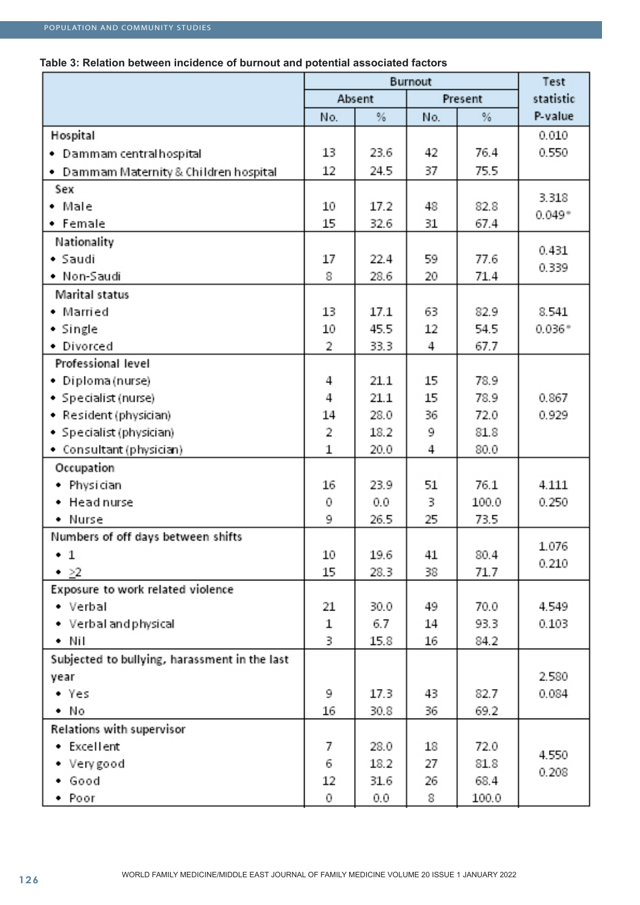## **Table 3: Relation between incidence of burnout and potential associated factors**

|                                               | Burnout |        |     |         | Test      |  |
|-----------------------------------------------|---------|--------|-----|---------|-----------|--|
|                                               |         | Absent |     | Present | statistic |  |
|                                               | No.     | %      | No. | %       | P-value   |  |
| Hospital                                      |         |        |     |         | 0.010     |  |
| Dammam central hospital                       | 13      | 23.6   | 42  | 76.4    | 0.550     |  |
| Dammam Maternity & Children hospital<br>٠     | 12      | 24.5   | 37  | 75.5    |           |  |
| Sex                                           |         |        |     |         |           |  |
| • Male                                        | 10      | 17.2   | 48  | 82.8    | 3.318     |  |
| • Female                                      | 15      | 32.6   | 31  | 67.4    | $0.049*$  |  |
| Nationality                                   |         |        |     |         |           |  |
| • Saudi                                       | 17      | 22.4   | 59  | 77.6    | 0.431     |  |
| • Non-Saudi                                   | 8       | 28.6   | 20  | 71.4    | 0.339     |  |
| Marital status                                |         |        |     |         |           |  |
| • Married                                     | 13      | 17.1   | 63  | 82.9    | 8.541     |  |
| • Single                                      | 10      | 45.5   | 12  | 54.5    | $0.036*$  |  |
| • Divorced                                    | 2       | 33.3   | 4   | 67.7    |           |  |
| Professional level                            |         |        |     |         |           |  |
| • Diploma (nurse)                             | 4       | 21.1   | 15  | 78.9    |           |  |
| • Specialist (nurse)                          | 4       | 21.1   | 15  | 78.9    | 0.867     |  |
| • Resident (physician)                        | 14      | 28.0   | 36  | 72.0    | 0.929     |  |
| • Specialist (physician)                      | 2       | 18.2   | 9   | 81.8    |           |  |
| • Consultant (physician)                      | 1       | 20.0   | 4   | 80.0    |           |  |
| Occupation                                    |         |        |     |         |           |  |
| • Physician                                   | 16      | 23.9   | 51  | 76.1    | 4.111     |  |
| • Head nurse                                  | 0       | 0.0    | 3   | 100.0   | 0.250     |  |
| • Nurse                                       | 9       | 26.5   | 25  | 73.5    |           |  |
| Numbers of off days between shifts            |         |        |     |         | 1.076     |  |
| $\cdot$ 1                                     | 10      | 19.6   | 41  | 80.4    | 0.210     |  |
| $\rightarrow$ 22                              | 15      | 28.3   | 38  | 71.7    |           |  |
| Exposure to work related violence             |         |        |     |         |           |  |
| • Verbal                                      | 21      | 30.0   | 49  | 70.0    | 4.549     |  |
| • Verbal and physical                         | 1       | 6.7    | 14  | 93.3    | 0.103     |  |
| • Nil                                         | 3.      | 15.8   | 16  | 84.2    |           |  |
| Subjected to bullying, harassment in the last |         |        |     |         |           |  |
| year                                          |         |        |     |         | 2.580     |  |
| - Yes                                         | 9       | 17.3   | 43  | 82.7    | 0.084     |  |
| • No                                          | 16      | 30.8   | 36  | 69.2    |           |  |
| Relations with supervisor                     |         |        |     |         |           |  |
| • Excellent                                   | 7       | 28.0   | 18  | 72.0    | 4.550     |  |
| • Very good                                   | 6       | 18.2   | 27  | 81.8    |           |  |
| • Good                                        | 12      | 31.6   | 26  | 68.4    | 0.208     |  |
| • Poor                                        | 0       | 0.0    | 8   | 100.0   |           |  |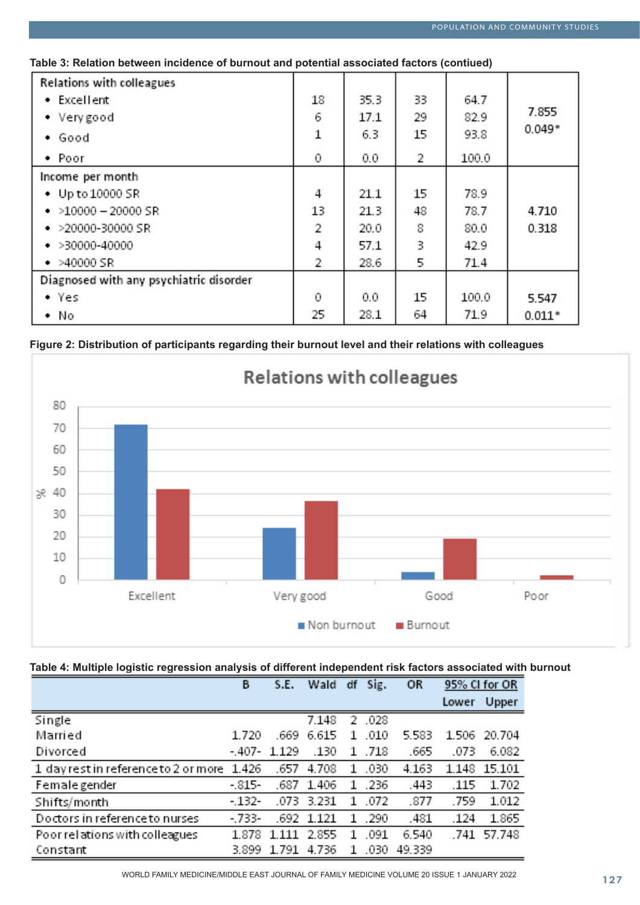## **Table 3: Relation between incidence of burnout and potential associated factors (contiued)**

| <b>Relations with colleagues</b>        |    |      |    |       |          |
|-----------------------------------------|----|------|----|-------|----------|
| • Excellent                             | 18 | 35.3 | 33 | 64.7  |          |
| • Very good                             | 6  | 17.1 | 29 | 82.9  | 7.855    |
| • Good                                  | 1  | 6.3  | 15 | 93.8  | $0.049*$ |
| • Poor                                  | 0  | 0.0  | 2  | 100.0 |          |
| Income per month                        |    |      |    |       |          |
| • Up to 10000 SR                        | 4  | 21.1 | 15 | 78.9  |          |
| $\cdot$ >10000 - 20000 SR               | 13 | 21.3 | 48 | 78.7  | 4.710    |
| $\cdot$ >20000-30000 SR                 | 2  | 20.0 | 8  | 80.0  | 0.318    |
| $\bullet$ >30000-40000                  | 4  | 57.1 | 3  | 42.9  |          |
| $-$ >40000 SR                           | 2  | 28.6 | 5  | 71.4  |          |
| Diagnosed with any psychiatric disorder |    |      |    |       |          |
| - Yes                                   | 0  | 0.0  | 15 | 100.0 | 5.547    |
| - No                                    |    | 28.1 | 64 | 71.9  | $0.011*$ |





## **Table 4: Multiple logistic regression analysis of different independent risk factors associated with burnout**

|                                            | в       | S.E.    | Wald  | df | Sig.   | OR     | 95% CI for OR |             |
|--------------------------------------------|---------|---------|-------|----|--------|--------|---------------|-------------|
|                                            |         |         |       |    |        |        | Lower         | Upper       |
| Single                                     |         |         | 7.148 |    | 2 .028 |        |               |             |
| Married                                    | 1.720   | .669    | 6.615 | Т. | .010   | 5.583  | 1.506         | 20.704      |
| Divorced                                   | - 407-  | 1.129   | .130  |    | 1.718  | .665   | .073          | 6.082       |
| 1 day rest in reference to 2 or more 1.426 |         | .657    | 4.708 | 1  | .030   | 4.163  | 1.148         | 15.101      |
| Female gender                              | - 815-  | 687     | 1.406 |    | 1 .236 | .443   | .115          | 1.702       |
| Shifts/month                               | - 132-  | .073    | 3.231 | 1  | .072   | .877   | .759          | 1.012       |
| Doctors in reference to nurses             | $-733-$ | .692    | 1.121 | 1. | .290   | .481   | .124          | 1.865       |
| Poor relations with colleagues             | 1.878   | 1 1 1 1 | 2.855 | т  | .091   | 6.540  |               | .741 57.748 |
| Constant                                   | 3.899   | 1.791   | 4.736 | 1  | .030   | 49.339 |               |             |

WORLD FAMILY MEDICINE/MIDDLE EAST JOURNAL OF FAMILY MEDICINE VOLUME 20 ISSUE 1 JANUARY 2022<br>127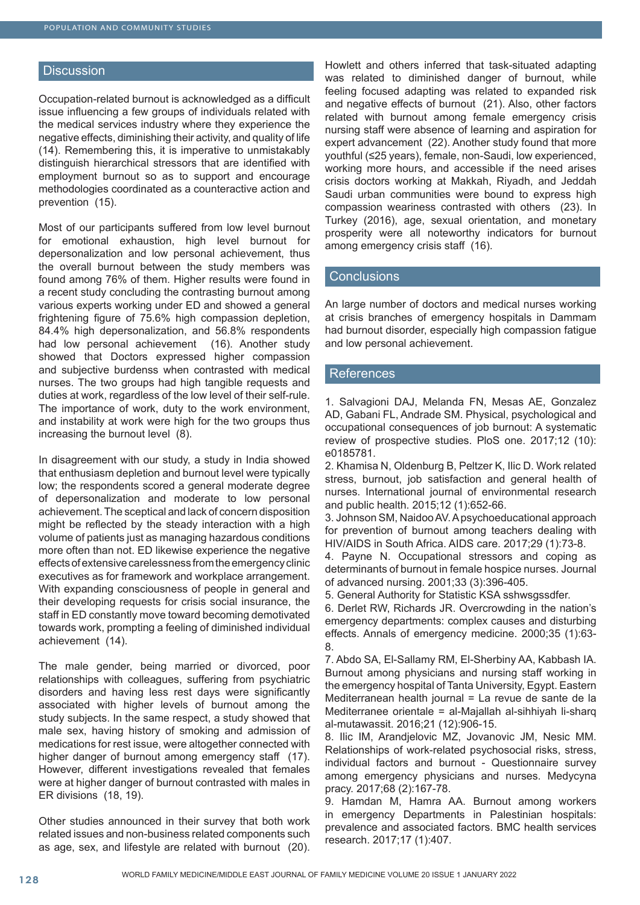#### **Discussion**

Occupation-related burnout is acknowledged as a difficult issue influencing a few groups of individuals related with the medical services industry where they experience the negative effects, diminishing their activity, and quality of life (14). Remembering this, it is imperative to unmistakably distinguish hierarchical stressors that are identified with employment burnout so as to support and encourage methodologies coordinated as a counteractive action and prevention (15).

Most of our participants suffered from low level burnout for emotional exhaustion, high level burnout for depersonalization and low personal achievement, thus the overall burnout between the study members was found among 76% of them. Higher results were found in a recent study concluding the contrasting burnout among various experts working under ED and showed a general frightening figure of 75.6% high compassion depletion, 84.4% high depersonalization, and 56.8% respondents had low personal achievement (16). Another study showed that Doctors expressed higher compassion and subjective burdenss when contrasted with medical nurses. The two groups had high tangible requests and duties at work, regardless of the low level of their self-rule. The importance of work, duty to the work environment, and instability at work were high for the two groups thus increasing the burnout level (8).

In disagreement with our study, a study in India showed that enthusiasm depletion and burnout level were typically low; the respondents scored a general moderate degree of depersonalization and moderate to low personal achievement. The sceptical and lack of concern disposition might be reflected by the steady interaction with a high volume of patients just as managing hazardous conditions more often than not. ED likewise experience the negative effects of extensive carelessness from the emergency clinic executives as for framework and workplace arrangement. With expanding consciousness of people in general and their developing requests for crisis social insurance, the staff in ED constantly move toward becoming demotivated towards work, prompting a feeling of diminished individual achievement (14).

The male gender, being married or divorced, poor relationships with colleagues, suffering from psychiatric disorders and having less rest days were significantly associated with higher levels of burnout among the study subjects. In the same respect, a study showed that male sex, having history of smoking and admission of medications for rest issue, were altogether connected with higher danger of burnout among emergency staff (17). However, different investigations revealed that females were at higher danger of burnout contrasted with males in ER divisions (18, 19).

Other studies announced in their survey that both work related issues and non-business related components such as age, sex, and lifestyle are related with burnout (20).

Howlett and others inferred that task-situated adapting was related to diminished danger of burnout, while feeling focused adapting was related to expanded risk and negative effects of burnout (21). Also, other factors related with burnout among female emergency crisis nursing staff were absence of learning and aspiration for expert advancement (22). Another study found that more youthful (≤25 years), female, non-Saudi, low experienced, working more hours, and accessible if the need arises crisis doctors working at Makkah, Riyadh, and Jeddah Saudi urban communities were bound to express high compassion weariness contrasted with others (23). In Turkey (2016), age, sexual orientation, and monetary prosperity were all noteworthy indicators for burnout among emergency crisis staff (16).

#### **Conclusions**

An large number of doctors and medical nurses working at crisis branches of emergency hospitals in Dammam had burnout disorder, especially high compassion fatigue and low personal achievement.

#### **References**

1. Salvagioni DAJ, Melanda FN, Mesas AE, Gonzalez AD, Gabani FL, Andrade SM. Physical, psychological and occupational consequences of job burnout: A systematic review of prospective studies. PloS one. 2017;12 (10): e0185781.

2. Khamisa N, Oldenburg B, Peltzer K, Ilic D. Work related stress, burnout, job satisfaction and general health of nurses. International journal of environmental research and public health. 2015;12 (1):652-66.

3. Johnson SM, Naidoo AV. A psychoeducational approach for prevention of burnout among teachers dealing with HIV/AIDS in South Africa. AIDS care. 2017;29 (1):73-8.

4. Payne N. Occupational stressors and coping as determinants of burnout in female hospice nurses. Journal of advanced nursing. 2001;33 (3):396-405.

5. General Authority for Statistic KSA sshwsgssdfer.

6. Derlet RW, Richards JR. Overcrowding in the nation's emergency departments: complex causes and disturbing effects. Annals of emergency medicine. 2000;35 (1):63- 8.

7. Abdo SA, El-Sallamy RM, El-Sherbiny AA, Kabbash IA. Burnout among physicians and nursing staff working in the emergency hospital of Tanta University, Egypt. Eastern Mediterranean health journal = La revue de sante de la Mediterranee orientale = al-Majallah al-sihhiyah li-sharq al-mutawassit. 2016;21 (12):906-15.

8. Ilic IM, Arandjelovic MZ, Jovanovic JM, Nesic MM. Relationships of work-related psychosocial risks, stress, individual factors and burnout - Questionnaire survey among emergency physicians and nurses. Medycyna pracy. 2017;68 (2):167-78.

9. Hamdan M, Hamra AA. Burnout among workers in emergency Departments in Palestinian hospitals: prevalence and associated factors. BMC health services research. 2017;17 (1):407.